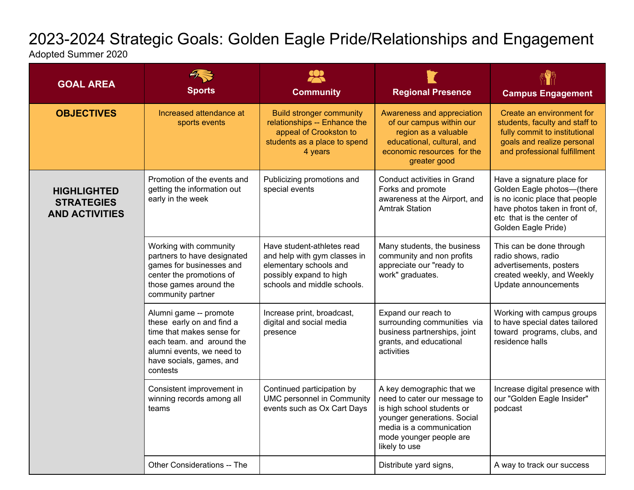## 2023-2024 Strategic Goals: Golden Eagle Pride/Relationships and Engagement

Adopted Summer 2020

| <b>GOAL AREA</b>                                                 | <b>Sports</b>                                                                                                                                                                      | <b>Community</b>                                                                                                                               | <b>Regional Presence</b>                                                                                                                                                                       | <b>Campus Engagement</b>                                                                                                                                                         |
|------------------------------------------------------------------|------------------------------------------------------------------------------------------------------------------------------------------------------------------------------------|------------------------------------------------------------------------------------------------------------------------------------------------|------------------------------------------------------------------------------------------------------------------------------------------------------------------------------------------------|----------------------------------------------------------------------------------------------------------------------------------------------------------------------------------|
| <b>OBJECTIVES</b>                                                | Increased attendance at<br>sports events                                                                                                                                           | <b>Build stronger community</b><br>relationships -- Enhance the<br>appeal of Crookston to<br>students as a place to spend<br>4 years           | Awareness and appreciation<br>of our campus within our<br>region as a valuable<br>educational, cultural, and<br>economic resources for the<br>greater good                                     | Create an environment for<br>students, faculty and staff to<br>fully commit to institutional<br>goals and realize personal<br>and professional fulfillment                       |
| <b>HIGHLIGHTED</b><br><b>STRATEGIES</b><br><b>AND ACTIVITIES</b> | Promotion of the events and<br>getting the information out<br>early in the week                                                                                                    | Publicizing promotions and<br>special events                                                                                                   | Conduct activities in Grand<br>Forks and promote<br>awareness at the Airport, and<br><b>Amtrak Station</b>                                                                                     | Have a signature place for<br>Golden Eagle photos-(there<br>is no iconic place that people<br>have photos taken in front of,<br>etc that is the center of<br>Golden Eagle Pride) |
|                                                                  | Working with community<br>partners to have designated<br>games for businesses and<br>center the promotions of<br>those games around the<br>community partner                       | Have student-athletes read<br>and help with gym classes in<br>elementary schools and<br>possibly expand to high<br>schools and middle schools. | Many students, the business<br>community and non profits<br>appreciate our "ready to<br>work" graduates.                                                                                       | This can be done through<br>radio shows, radio<br>advertisements, posters<br>created weekly, and Weekly<br>Update announcements                                                  |
|                                                                  | Alumni game -- promote<br>these early on and find a<br>time that makes sense for<br>each team, and around the<br>alumni events, we need to<br>have socials, games, and<br>contests | Increase print, broadcast,<br>digital and social media<br>presence                                                                             | Expand our reach to<br>surrounding communities via<br>business partnerships, joint<br>grants, and educational<br>activities                                                                    | Working with campus groups<br>to have special dates tailored<br>toward programs, clubs, and<br>residence halls                                                                   |
|                                                                  | Consistent improvement in<br>winning records among all<br>teams                                                                                                                    | Continued participation by<br><b>UMC personnel in Community</b><br>events such as Ox Cart Days                                                 | A key demographic that we<br>need to cater our message to<br>is high school students or<br>younger generations. Social<br>media is a communication<br>mode younger people are<br>likely to use | Increase digital presence with<br>our "Golden Eagle Insider"<br>podcast                                                                                                          |
|                                                                  | Other Considerations -- The                                                                                                                                                        |                                                                                                                                                | Distribute yard signs,                                                                                                                                                                         | A way to track our success                                                                                                                                                       |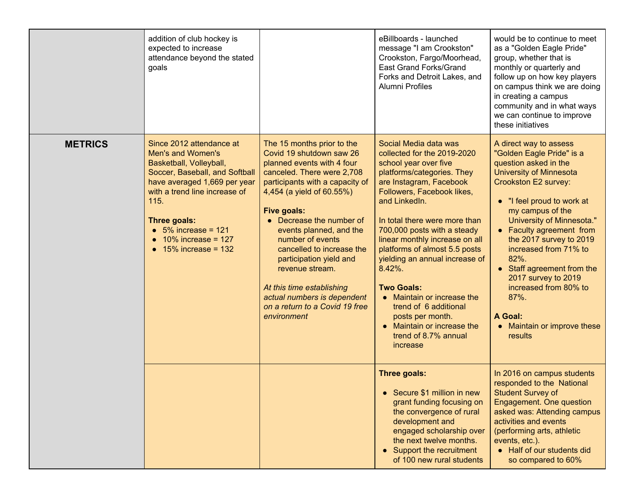|                | addition of club hockey is<br>expected to increase<br>attendance beyond the stated<br>goals                                                                                                                                                                                          |                                                                                                                                                                                                                                                                                                                                                                                                                                                                      | eBillboards - launched<br>message "I am Crookston"<br>Crookston, Fargo/Moorhead,<br>East Grand Forks/Grand<br>Forks and Detroit Lakes, and<br>Alumni Profiles                                                                                                                                                                                                                                                                                                                                                                             | would be to continue to meet<br>as a "Golden Eagle Pride"<br>group, whether that is<br>monthly or quarterly and<br>follow up on how key players<br>on campus think we are doing<br>in creating a campus<br>community and in what ways<br>we can continue to improve<br>these initiatives                                                                                                                                                                 |
|----------------|--------------------------------------------------------------------------------------------------------------------------------------------------------------------------------------------------------------------------------------------------------------------------------------|----------------------------------------------------------------------------------------------------------------------------------------------------------------------------------------------------------------------------------------------------------------------------------------------------------------------------------------------------------------------------------------------------------------------------------------------------------------------|-------------------------------------------------------------------------------------------------------------------------------------------------------------------------------------------------------------------------------------------------------------------------------------------------------------------------------------------------------------------------------------------------------------------------------------------------------------------------------------------------------------------------------------------|----------------------------------------------------------------------------------------------------------------------------------------------------------------------------------------------------------------------------------------------------------------------------------------------------------------------------------------------------------------------------------------------------------------------------------------------------------|
| <b>METRICS</b> | Since 2012 attendance at<br>Men's and Women's<br>Basketball, Volleyball,<br>Soccer, Baseball, and Softball<br>have averaged 1,669 per year<br>with a trend line increase of<br>115.<br>Three goals:<br>$\bullet$ 5% increase = 121<br>$10\%$ increase = 127<br>$15\%$ increase = 132 | The 15 months prior to the<br>Covid 19 shutdown saw 26<br>planned events with 4 four<br>canceled. There were 2,708<br>participants with a capacity of<br>4,454 (a yield of 60.55%)<br>Five goals:<br>• Decrease the number of<br>events planned, and the<br>number of events<br>cancelled to increase the<br>participation yield and<br>revenue stream.<br>At this time establishing<br>actual numbers is dependent<br>on a return to a Covid 19 free<br>environment | Social Media data was<br>collected for the 2019-2020<br>school year over five<br>platforms/categories. They<br>are Instagram, Facebook<br>Followers, Facebook likes,<br>and LinkedIn.<br>In total there were more than<br>700,000 posts with a steady<br>linear monthly increase on all<br>platforms of almost 5.5 posts<br>yielding an annual increase of<br>$8.42%$ .<br><b>Two Goals:</b><br>• Maintain or increase the<br>trend of 6 additional<br>posts per month.<br>• Maintain or increase the<br>trend of 8.7% annual<br>increase | A direct way to assess<br>"Golden Eagle Pride" is a<br>question asked in the<br><b>University of Minnesota</b><br>Crookston E2 survey:<br>• "I feel proud to work at<br>my campus of the<br>University of Minnesota."<br>• Faculty agreement from<br>the 2017 survey to 2019<br>increased from 71% to<br>82%.<br>• Staff agreement from the<br>2017 survey to 2019<br>increased from 80% to<br>87%.<br>A Goal:<br>• Maintain or improve these<br>results |
|                |                                                                                                                                                                                                                                                                                      |                                                                                                                                                                                                                                                                                                                                                                                                                                                                      | Three goals:<br>• Secure \$1 million in new<br>grant funding focusing on<br>the convergence of rural<br>development and<br>engaged scholarship over<br>the next twelve months.<br>• Support the recruitment<br>of 100 new rural students                                                                                                                                                                                                                                                                                                  | In 2016 on campus students<br>responded to the National<br><b>Student Survey of</b><br>Engagement. One question<br>asked was: Attending campus<br>activities and events<br>(performing arts, athletic<br>events, etc.).<br>• Half of our students did<br>so compared to 60%                                                                                                                                                                              |